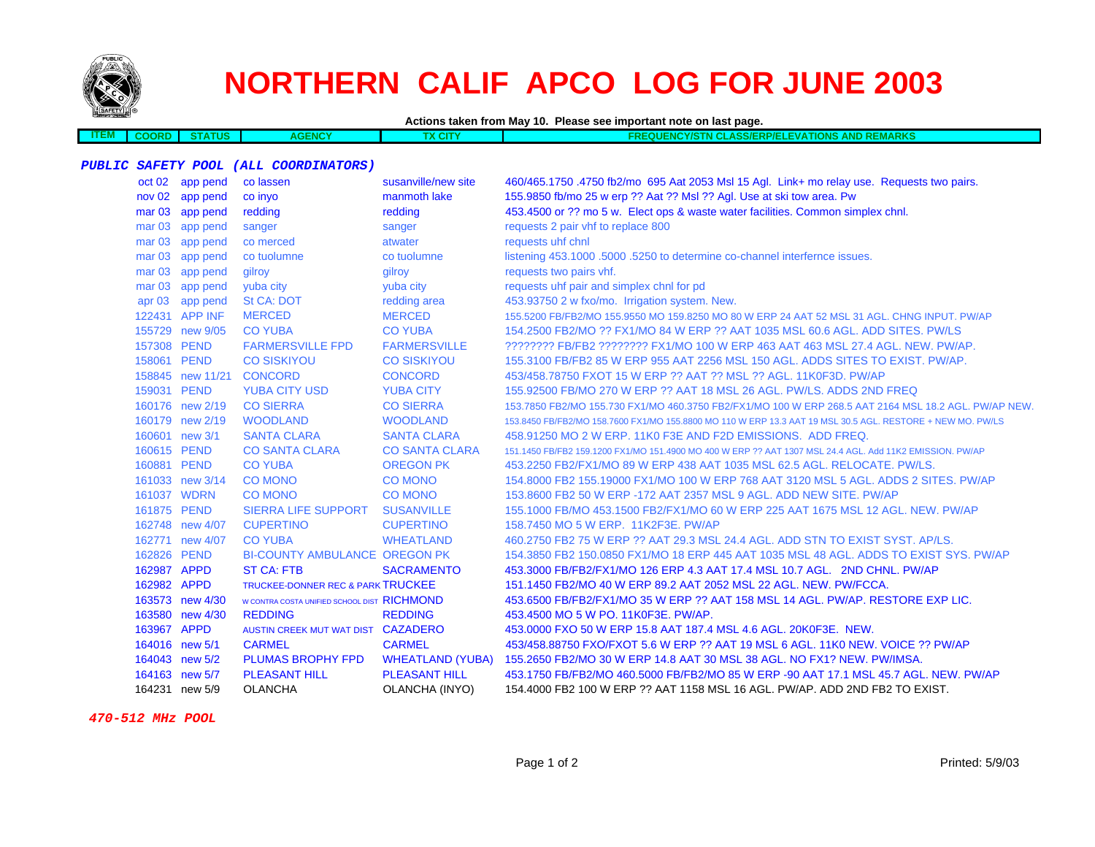

## **NORTHERN CALIF APCO LOG FOR JUNE 2003**

**Actions taken from May 10. Please see important note on last page.**

**ITEM COORD STATUSAGENCY TX CITY FREQUENCY/STN CLASS/ERP/ELEVATIONS AND REMARKS**

## **PUBLIC SAFETY POOL (ALL COORDINATORS)**

|          | oct 02 app pend  | co lassen                                   | susanville/new site     | 460/465.1750 .4750 fb2/mo 695 Aat 2053 Msl 15 Agl. Link+ mo relay use. Requests two pairs.                 |
|----------|------------------|---------------------------------------------|-------------------------|------------------------------------------------------------------------------------------------------------|
|          | nov 02 app pend  | co inyo                                     | manmoth lake            | 155.9850 fb/mo 25 w erp ?? Aat ?? Msl ?? Agl. Use at ski tow area. Pw                                      |
|          | mar 03 app pend  | redding                                     | redding                 | 453.4500 or ?? mo 5 w. Elect ops & waste water facilities. Common simplex chnl.                            |
|          | mar 03 app pend  | sanger                                      | sanger                  | requests 2 pair vhf to replace 800                                                                         |
|          | mar 03 app pend  | co merced                                   | atwater                 | requests uhf chnl                                                                                          |
|          | mar 03 app pend  | co tuolumne                                 | co tuolumne             | listening 453.1000 .5000 .5250 to determine co-channel interfernce issues.                                 |
|          | mar 03 app pend  | gilroy                                      | gilroy                  | requests two pairs vhf.                                                                                    |
|          | mar 03 app pend  | yuba city                                   | yuba city               | requests uhf pair and simplex chnl for pd                                                                  |
| apr $03$ | app pend         | St CA: DOT                                  | redding area            | 453.93750 2 w fxo/mo. Irrigation system. New.                                                              |
|          | 122431 APP INF   | <b>MERCED</b>                               | <b>MERCED</b>           | 155,5200 FB/FB2/MO 155,9550 MO 159,8250 MO 80 W ERP 24 AAT 52 MSL 31 AGL, CHNG INPUT, PW/AP                |
|          | 155729 new 9/05  | <b>CO YUBA</b>                              | <b>CO YUBA</b>          | 154,2500 FB2/MO ?? FX1/MO 84 W ERP ?? AAT 1035 MSL 60.6 AGL, ADD SITES, PW/LS                              |
|          | 157308 PEND      | <b>FARMERSVILLE FPD</b>                     | <b>FARMERSVILLE</b>     | ???????? FB/FB2 ???????? FX1/MO 100 W ERP 463 AAT 463 MSL 27.4 AGL. NEW. PW/AP.                            |
|          | 158061 PEND      | <b>CO SISKIYOU</b>                          | <b>CO SISKIYOU</b>      | 155,3100 FB/FB2 85 W ERP 955 AAT 2256 MSL 150 AGL, ADDS SITES TO EXIST, PW/AP.                             |
|          | 158845 new 11/21 | <b>CONCORD</b>                              | <b>CONCORD</b>          | 453/458.78750 FXOT 15 W ERP ?? AAT ?? MSL ?? AGL, 11K0F3D, PW/AP                                           |
|          | 159031 PEND      | <b>YUBA CITY USD</b>                        | <b>YUBA CITY</b>        | 155,92500 FB/MO 270 W ERP ?? AAT 18 MSL 26 AGL, PW/LS, ADDS 2ND FREQ                                       |
|          | 160176 new 2/19  | <b>CO SIERRA</b>                            | <b>CO SIERRA</b>        | 153.7850 FB2/MO 155.730 FX1/MO 460.3750 FB2/FX1/MO 100 W ERP 268.5 AAT 2164 MSL 18.2 AGL. PW/AP NEW.       |
|          | 160179 new 2/19  | <b>WOODLAND</b>                             | <b>WOODLAND</b>         | 153.8450 FB/FB2/MO 158.7600 FX1/MO 155.8800 MO 110 W ERP 13.3 AAT 19 MSL 30.5 AGL, RESTORE + NEW MO, PW/LS |
|          | 160601 new 3/1   | <b>SANTA CLARA</b>                          | <b>SANTA CLARA</b>      | 458.91250 MO 2 W ERP. 11K0 F3E AND F2D EMISSIONS. ADD FREQ.                                                |
|          | 160615 PEND      | <b>CO SANTA CLARA</b>                       | <b>CO SANTA CLARA</b>   | 151.1450 FB/FB2 159.1200 FX1/MO 151.4900 MO 400 W ERP ?? AAT 1307 MSL 24.4 AGL. Add 11K2 EMISSION. PW/AP   |
|          | 160881 PEND      | <b>CO YUBA</b>                              | <b>OREGON PK</b>        | 453.2250 FB2/FX1/MO 89 W ERP 438 AAT 1035 MSL 62.5 AGL. RELOCATE. PW/LS.                                   |
|          | 161033 new 3/14  | <b>CO MONO</b>                              | <b>CO MONO</b>          | 154.8000 FB2 155.19000 FX1/MO 100 W ERP 768 AAT 3120 MSL 5 AGL. ADDS 2 SITES, PW/AP                        |
|          | 161037 WDRN      | <b>CO MONO</b>                              | <b>CO MONO</b>          | 153,8600 FB2 50 W ERP -172 AAT 2357 MSL 9 AGL, ADD NEW SITE, PW/AP                                         |
|          | 161875 PEND      | <b>SIERRA LIFE SUPPORT</b>                  | <b>SUSANVILLE</b>       | 155,1000 FB/MO 453,1500 FB2/FX1/MO 60 W ERP 225 AAT 1675 MSL 12 AGL, NEW, PW/AP                            |
|          | 162748 new 4/07  | <b>CUPERTINO</b>                            | <b>CUPERTINO</b>        | 158.7450 MO 5 W ERP. 11K2F3E, PW/AP                                                                        |
|          | 162771 new 4/07  | <b>CO YUBA</b>                              | <b>WHEATLAND</b>        | 460.2750 FB2 75 W ERP ?? AAT 29.3 MSL 24.4 AGL. ADD STN TO EXIST SYST. AP/LS.                              |
|          | 162826 PEND      | <b>BI-COUNTY AMBULANCE OREGON PK</b>        |                         | 154,3850 FB2 150,0850 FX1/MO 18 ERP 445 AAT 1035 MSL 48 AGL, ADDS TO EXIST SYS, PW/AP                      |
|          | 162987 APPD      | <b>ST CA: FTB</b>                           | <b>SACRAMENTO</b>       | 453.3000 FB/FB2/FX1/MO 126 ERP 4.3 AAT 17.4 MSL 10.7 AGL. 2ND CHNL. PW/AP                                  |
|          | 162982 APPD      | TRUCKEE-DONNER REC & PARK TRUCKEE           |                         | 151.1450 FB2/MO 40 W ERP 89.2 AAT 2052 MSL 22 AGL. NEW. PW/FCCA.                                           |
|          | 163573 new 4/30  | W CONTRA COSTA UNIFIED SCHOOL DIST RICHMOND |                         | 453.6500 FB/FB2/FX1/MO 35 W ERP ?? AAT 158 MSL 14 AGL. PW/AP. RESTORE EXP LIC.                             |
|          | 163580 new 4/30  | <b>REDDING</b>                              | <b>REDDING</b>          | 453.4500 MO 5 W PO. 11K0F3E. PW/AP.                                                                        |
|          | 163967 APPD      | AUSTIN CREEK MUT WAT DIST CAZADERO          |                         | 453,0000 FXO 50 W ERP 15.8 AAT 187.4 MSL 4.6 AGL, 20K0F3E, NEW.                                            |
|          | 164016 new 5/1   | <b>CARMEL</b>                               | <b>CARMEL</b>           | 453/458.88750 FXO/FXOT 5.6 W ERP ?? AAT 19 MSL 6 AGL, 11K0 NEW, VOICE ?? PW/AP                             |
|          | 164043 new 5/2   | <b>PLUMAS BROPHY FPD</b>                    | <b>WHEATLAND (YUBA)</b> | 155,2650 FB2/MO 30 W ERP 14.8 AAT 30 MSL 38 AGL, NO FX1? NEW, PW/IMSA.                                     |
|          | 164163 new 5/7   | <b>PLEASANT HILL</b>                        | <b>PLEASANT HILL</b>    | 453.1750 FB/FB2/MO 460.5000 FB/FB2/MO 85 W ERP -90 AAT 17.1 MSL 45.7 AGL. NEW. PW/AP                       |
|          | 164231 new 5/9   | <b>OLANCHA</b>                              | OLANCHA (INYO)          | 154.4000 FB2 100 W ERP ?? AAT 1158 MSL 16 AGL. PW/AP. ADD 2ND FB2 TO EXIST.                                |

 **470-512 MHz POOL**